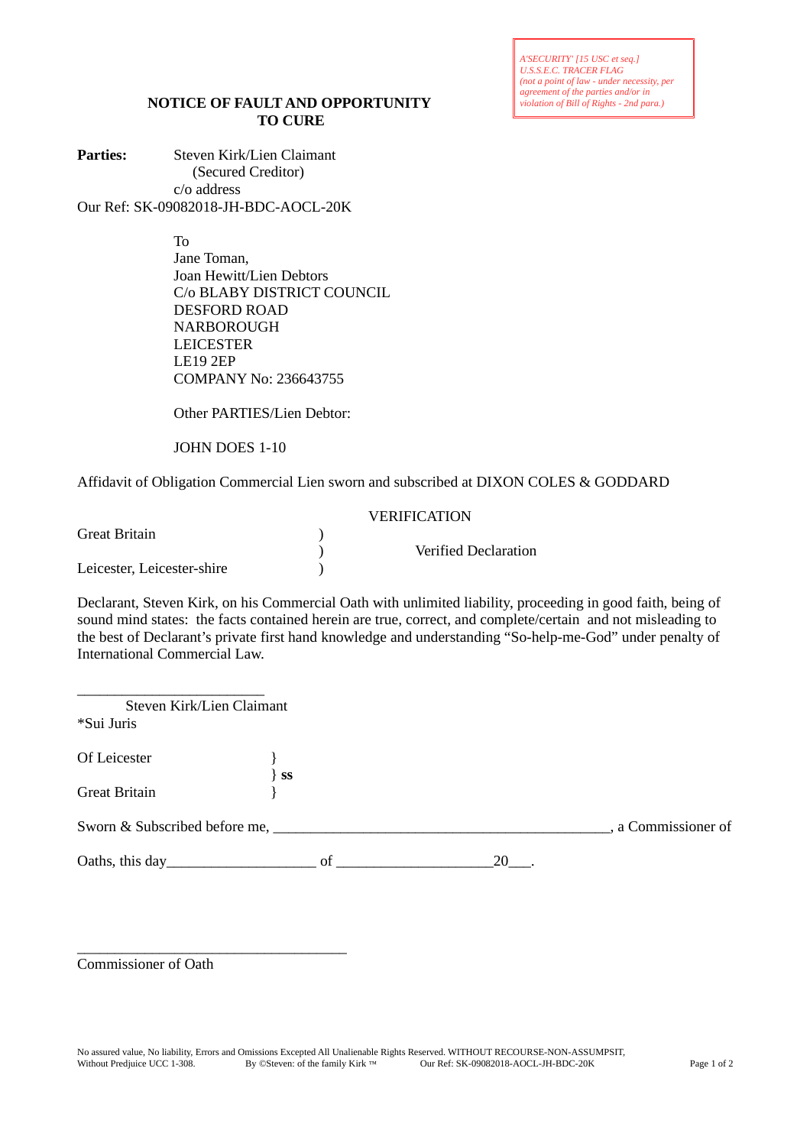*A'SECURITY' [15 USC et seq.] U.S.S.E.C. TRACER FLAG (not a point of law - under necessity, per agreement of the parties and/or in violation of Bill of Rights - 2nd para.)*

## **NOTICE OF FAULT AND OPPORTUNITY TO CURE**

Parties: Steven Kirk/Lien Claimant (Secured Creditor) c/o address Our Ref: SK-09082018-JH-BDC-AOCL-20K

To

Jane Toman, Joan Hewitt/Lien Debtors C/o BLABY DISTRICT COUNCIL DESFORD ROAD NARBOROUGH LEICESTER LE19 2EP COMPANY No: 236643755

Other PARTIES/Lien Debtor:

JOHN DOES 1-10

Affidavit of Obligation Commercial Lien sworn and subscribed at DIXON COLES & GODDARD

|                            | <b>VERIFICATION</b> |                             |  |  |
|----------------------------|---------------------|-----------------------------|--|--|
| Great Britain              |                     |                             |  |  |
|                            |                     | <b>Verified Declaration</b> |  |  |
| Leicester, Leicester-shire |                     |                             |  |  |

Declarant, Steven Kirk, on his Commercial Oath with unlimited liability, proceeding in good faith, being of sound mind states: the facts contained herein are true, correct, and complete/certain and not misleading to the best of Declarant's private first hand knowledge and understanding "So-help-me-God" under penalty of International Commercial Law.

| Steven Kirk/Lien Claimant |         |      |                     |
|---------------------------|---------|------|---------------------|
| *Sui Juris                |         |      |                     |
| Of Leicester              |         |      |                     |
| <b>Great Britain</b>      | $\}$ SS |      |                     |
|                           |         |      | , a Commissioner of |
|                           |         | 20 . |                     |
|                           |         |      |                     |

Commissioner of Oath

\_\_\_\_\_\_\_\_\_\_\_\_\_\_\_\_\_\_\_\_\_\_\_\_\_\_\_\_\_\_\_\_\_\_\_\_